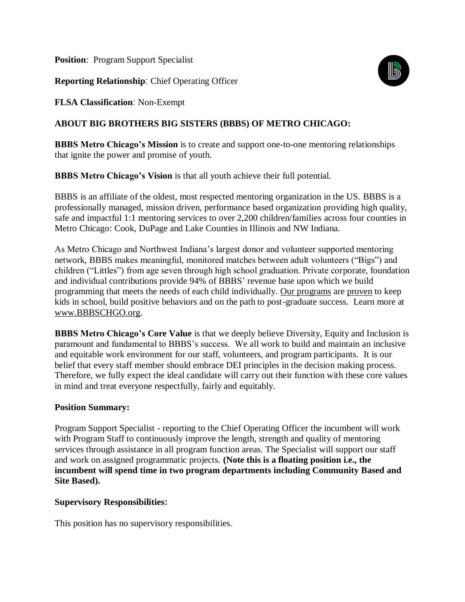**Position:** Program Support Specialist

**Reporting Relationship**: Chief Operating Officer

**FLSA Classification**: Non-Exempt

# **ABOUT BIG BROTHERS BIG SISTERS (BBBS) OF METRO CHICAGO:**

**BBBS Metro Chicago's Mission** is to create and support one-to-one mentoring relationships that ignite the power and promise of youth.

**BBBS Metro Chicago's Vision** is that all youth achieve their full potential.

BBBS is an affiliate of the oldest, most respected mentoring organization in the US. BBBS is a professionally managed, mission driven, performance based organization providing high quality, safe and impactful 1:1 mentoring services to over 2,200 children/families across four counties in Metro Chicago: Cook, DuPage and Lake Counties in Illinois and NW Indiana.

As Metro Chicago and Northwest Indiana's largest donor and volunteer supported mentoring network, BBBS makes meaningful, monitored matches between adult volunteers ("Bigs") and children ("Littles") from age seven through high school graduation. Private corporate, foundation and individual contributions provide 94% of BBBS' revenue base upon which we build programming that meets the needs of each child individually. [Our programs](https://bbbschgo.org/programs/) are [proven](https://bbbschgo.org/wp-content/uploads/2018/03/BBBS-Research-1-1.pdf) to keep kids in school, build positive behaviors and on the path to post-graduate success. Learn more at [www.BBBSCHGO.org.](http://www.bbbschgo.org/)

**BBBS Metro Chicago's Core Value** is that we deeply believe Diversity, Equity and Inclusion is paramount and fundamental to BBBS's success. We all work to build and maintain an inclusive and equitable work environment for our staff, volunteers, and program participants. It is our belief that every staff member should embrace DEI principles in the decision making process. Therefore, we fully expect the ideal candidate will carry out their function with these core values in mind and treat everyone respectfully, fairly and equitably.

### **Position Summary:**

Program Support Specialist - reporting to the Chief Operating Officer the incumbent will work with Program Staff to continuously improve the length, strength and quality of mentoring services through assistance in all program function areas. The Specialist will support our staff and work on assigned programmatic projects. **(Note this is a floating position i.e., the incumbent will spend time in two program departments including Community Based and Site Based).**

### **Supervisory Responsibilities:**

This position has no supervisory responsibilities.

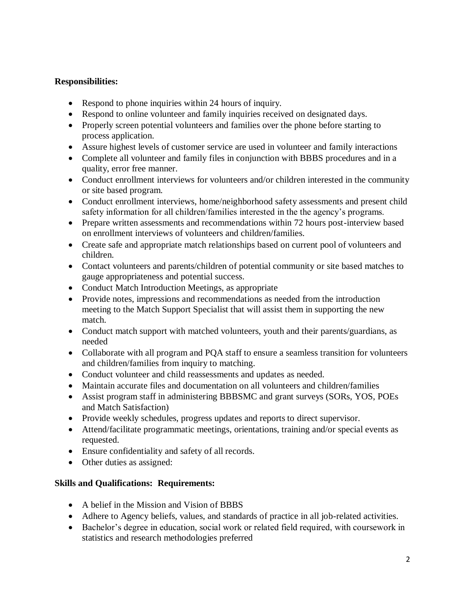### **Responsibilities:**

- Respond to phone inquiries within 24 hours of inquiry.
- Respond to online volunteer and family inquiries received on designated days.
- Properly screen potential volunteers and families over the phone before starting to process application.
- Assure highest levels of customer service are used in volunteer and family interactions
- Complete all volunteer and family files in conjunction with BBBS procedures and in a quality, error free manner.
- Conduct enrollment interviews for volunteers and/or children interested in the community or site based program.
- Conduct enrollment interviews, home/neighborhood safety assessments and present child safety information for all children/families interested in the the agency's programs.
- Prepare written assessments and recommendations within 72 hours post-interview based on enrollment interviews of volunteers and children/families.
- Create safe and appropriate match relationships based on current pool of volunteers and children.
- Contact volunteers and parents/children of potential community or site based matches to gauge appropriateness and potential success.
- Conduct Match Introduction Meetings, as appropriate
- Provide notes, impressions and recommendations as needed from the introduction meeting to the Match Support Specialist that will assist them in supporting the new match.
- Conduct match support with matched volunteers, youth and their parents/guardians, as needed
- Collaborate with all program and PQA staff to ensure a seamless transition for volunteers and children/families from inquiry to matching.
- Conduct volunteer and child reassessments and updates as needed.
- Maintain accurate files and documentation on all volunteers and children/families
- Assist program staff in administering BBBSMC and grant surveys (SORs, YOS, POEs and Match Satisfaction)
- Provide weekly schedules, progress updates and reports to direct supervisor.
- Attend/facilitate programmatic meetings, orientations, training and/or special events as requested.
- Ensure confidentiality and safety of all records.
- Other duties as assigned:

## **Skills and Qualifications: Requirements:**

- A belief in the Mission and Vision of BBBS
- Adhere to Agency beliefs, values, and standards of practice in all job-related activities.
- Bachelor's degree in education, social work or related field required, with coursework in statistics and research methodologies preferred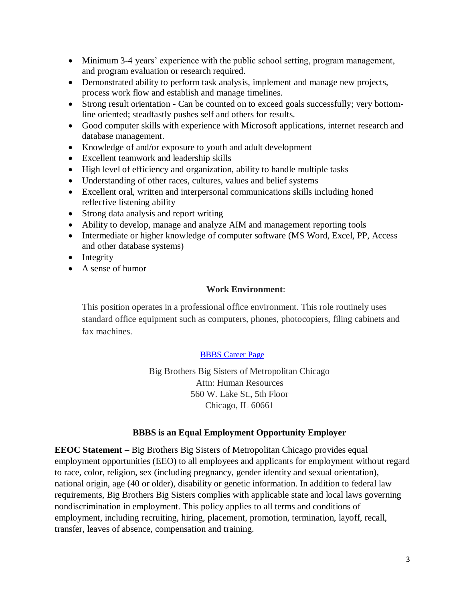- Minimum 3-4 years' experience with the public school setting, program management, and program evaluation or research required.
- Demonstrated ability to perform task analysis, implement and manage new projects, process work flow and establish and manage timelines.
- Strong result orientation Can be counted on to exceed goals successfully; very bottomline oriented; steadfastly pushes self and others for results.
- Good computer skills with experience with Microsoft applications, internet research and database management.
- Knowledge of and/or exposure to youth and adult development
- Excellent teamwork and leadership skills
- High level of efficiency and organization, ability to handle multiple tasks
- Understanding of other races, cultures, values and belief systems
- Excellent oral, written and interpersonal communications skills including honed reflective listening ability
- Strong data analysis and report writing
- Ability to develop, manage and analyze AIM and management reporting tools
- Intermediate or higher knowledge of computer software (MS Word, Excel, PP, Access and other database systems)
- Integrity
- A sense of humor

### **Work Environment**:

This position operates in a professional office environment. This role routinely uses standard office equipment such as computers, phones, photocopiers, filing cabinets and fax machines.

### [BBBS Career Page](https://www.cbizems.com/extranet/recruiting.aspx?id=d4f04178-356d-428d-8b78-813b34a15de6)

Big Brothers Big Sisters of Metropolitan Chicago Attn: Human Resources 560 W. Lake St., 5th Floor Chicago, IL 60661

### **BBBS is an Equal Employment Opportunity Employer**

**EEOC Statement –** Big Brothers Big Sisters of Metropolitan Chicago provides equal employment opportunities (EEO) to all employees and applicants for employment without regard to race, color, religion, sex (including pregnancy, gender identity and sexual orientation), national origin, age (40 or older), disability or genetic information. In addition to federal law requirements, Big Brothers Big Sisters complies with applicable state and local laws governing nondiscrimination in employment. This policy applies to all terms and conditions of employment, including recruiting, hiring, placement, promotion, termination, layoff, recall, transfer, leaves of absence, compensation and training.